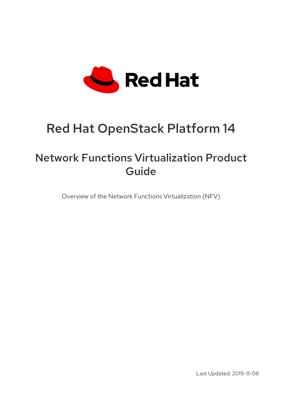

# Red Hat OpenStack Platform 14

# Network Functions Virtualization Product Guide

Overview of the Network Functions Virtualization (NFV)

Last Updated: 2019-11-08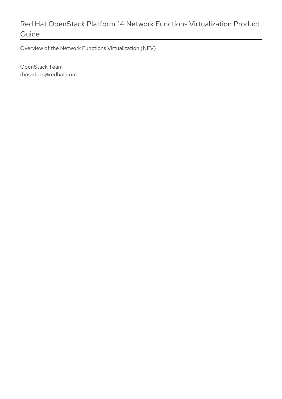# Red Hat OpenStack Platform 14 Network Functions Virtualization Product Guide

Overview of the Network Functions Virtualization (NFV)

OpenStack Team rhos-docs@redhat.com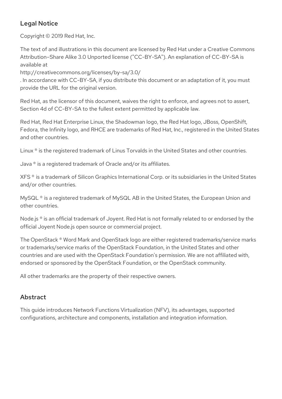#### Legal Notice

Copyright © 2019 Red Hat, Inc.

The text of and illustrations in this document are licensed by Red Hat under a Creative Commons Attribution–Share Alike 3.0 Unported license ("CC-BY-SA"). An explanation of CC-BY-SA is available at

http://creativecommons.org/licenses/by-sa/3.0/

. In accordance with CC-BY-SA, if you distribute this document or an adaptation of it, you must provide the URL for the original version.

Red Hat, as the licensor of this document, waives the right to enforce, and agrees not to assert, Section 4d of CC-BY-SA to the fullest extent permitted by applicable law.

Red Hat, Red Hat Enterprise Linux, the Shadowman logo, the Red Hat logo, JBoss, OpenShift, Fedora, the Infinity logo, and RHCE are trademarks of Red Hat, Inc., registered in the United States and other countries.

Linux ® is the registered trademark of Linus Torvalds in the United States and other countries.

Java ® is a registered trademark of Oracle and/or its affiliates.

XFS ® is a trademark of Silicon Graphics International Corp. or its subsidiaries in the United States and/or other countries.

MySQL<sup>®</sup> is a registered trademark of MySQL AB in the United States, the European Union and other countries.

Node.js ® is an official trademark of Joyent. Red Hat is not formally related to or endorsed by the official Joyent Node.js open source or commercial project.

The OpenStack ® Word Mark and OpenStack logo are either registered trademarks/service marks or trademarks/service marks of the OpenStack Foundation, in the United States and other countries and are used with the OpenStack Foundation's permission. We are not affiliated with, endorsed or sponsored by the OpenStack Foundation, or the OpenStack community.

All other trademarks are the property of their respective owners.

#### Abstract

This guide introduces Network Functions Virtualization (NFV), its advantages, supported configurations, architecture and components, installation and integration information.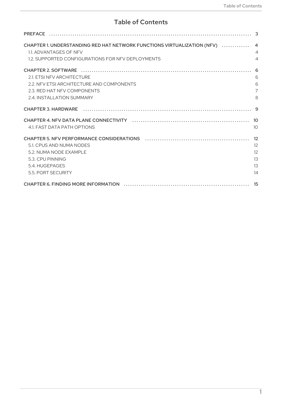## **Table of Contents**

|                                                                                                                                                                                                                                                                                                                                                 | -3                                 |
|-------------------------------------------------------------------------------------------------------------------------------------------------------------------------------------------------------------------------------------------------------------------------------------------------------------------------------------------------|------------------------------------|
| CHAPTER 1. UNDERSTANDING RED HAT NETWORK FUNCTIONS VIRTUALIZATION (NFV)  4<br>1.1. ADVANTAGES OF NFV<br>1.2. SUPPORTED CONFIGURATIONS FOR NFV DEPLOYMENTS                                                                                                                                                                                       | $\overline{4}$<br>$\overline{4}$   |
| 2.1. ETSI NFV ARCHITECTURE<br>2.2. NEV ETSI ARCHITECTURE AND COMPONENTS<br>2.3. RED HAT NFV COMPONENTS<br>2.4. INSTALLATION SUMMARY                                                                                                                                                                                                             | 6<br>6<br>6<br>$\overline{7}$<br>8 |
|                                                                                                                                                                                                                                                                                                                                                 | 9                                  |
| 4.1. FAST DATA PATH OPTIONS                                                                                                                                                                                                                                                                                                                     | 10<br>10                           |
| CHAPTER 5. NFV PERFORMANCE CONSIDERATIONS (and construction of the construction of the chapter of the chapter of the chapter of the chapter of the chapter of the chapter of the chapter of the chapter of the chapter of the<br>5.1. CPUS AND NUMA NODES<br>5.2. NUMA NODE EXAMPLE<br>5.3. CPU PINNING<br>5.4. HUGEPAGES<br>5.5. PORT SECURITY | 12<br>12<br>12<br>13<br>13<br>14   |
|                                                                                                                                                                                                                                                                                                                                                 | - 15                               |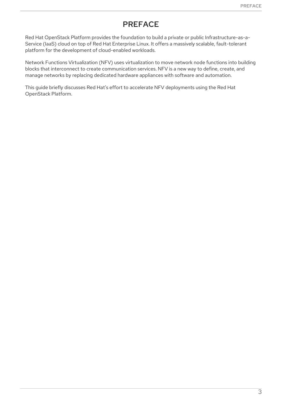## PREFACE

<span id="page-6-0"></span>Red Hat OpenStack Platform provides the foundation to build a private or public Infrastructure-as-a-Service (IaaS) cloud on top of Red Hat Enterprise Linux. It offers a massively scalable, fault-tolerant platform for the development of cloud-enabled workloads.

Network Functions Virtualization (NFV) uses virtualization to move network node functions into building blocks that interconnect to create communication services. NFV is a new way to define, create, and manage networks by replacing dedicated hardware appliances with software and automation.

This guide briefly discusses Red Hat's effort to accelerate NFV deployments using the Red Hat OpenStack Platform.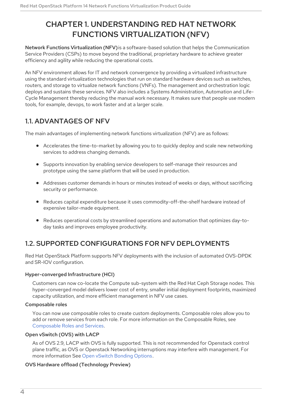# <span id="page-7-0"></span>CHAPTER 1. UNDERSTANDING RED HAT NETWORK FUNCTIONS VIRTUALIZATION (NFV)

Network Functions Virtualization (NFV)is a software-based solution that helps the Communication Service Providers (CSPs) to move beyond the traditional, proprietary hardware to achieve greater efficiency and agility while reducing the operational costs.

An NFV environment allows for IT and network convergence by providing a virtualized infrastructure using the standard virtualization technologies that run on standard hardware devices such as switches, routers, and storage to virtualize network functions (VNFs). The management and orchestration logic deploys and sustains these services. NFV also includes a Systems Administration, Automation and Life-Cycle Management thereby reducing the manual work necessary. It makes sure that people use modern tools, for example, devops, to work faster and at a larger scale.

#### <span id="page-7-1"></span>1.1. ADVANTAGES OF NFV

The main advantages of implementing network functions virtualization (NFV) are as follows:

- Accelerates the time-to-market by allowing you to to quickly deploy and scale new networking services to address changing demands.
- Supports innovation by enabling service developers to self-manage their resources and prototype using the same platform that will be used in production.
- Addresses customer demands in hours or minutes instead of weeks or days, without sacrificing security or performance.
- Reduces capital expenditure because it uses commodity-off-the-shelf hardware instead of expensive tailor-made equipment.
- Reduces operational costs by streamlined operations and automation that optimizes day-today tasks and improves employee productivity.

### <span id="page-7-2"></span>1.2. SUPPORTED CONFIGURATIONS FOR NFV DEPLOYMENTS

Red Hat OpenStack Platform supports NFV deployments with the inclusion of automated OVS-DPDK and SR-IOV configuration.

#### Hyper-converged Infrastructure (HCI)

Customers can now co-locate the Compute sub-system with the Red Hat Ceph Storage nodes. This hyper-converged model delivers lower cost of entry, smaller initial deployment footprints, maximized capacity utilization, and more efficient management in NFV use cases.

#### Composable roles

You can now use composable roles to create custom deployments. Composable roles allow you to add or remove services from each role. For more information on the Composable Roles, see [Composable](https://access.redhat.com/documentation/en-us/red_hat_openstack_platform/14/html-single/advanced_overcloud_customization/#Roles) Roles and Services.

#### Open vSwitch (OVS) with LACP

As of OVS 2.9, LACP with OVS is fully supported. This is not recommended for Openstack control plane traffic, as OVS or Openstack Networking interruptions may interfere with management. For more information See Open vSwitch [Bonding](https://access.redhat.com/documentation/en-us/red_hat_openstack_platform/14/html-single/advanced_overcloud_customization/index#open-vswitch-bonding-options) Options.

#### OVS Hardware offload (Technology Preview)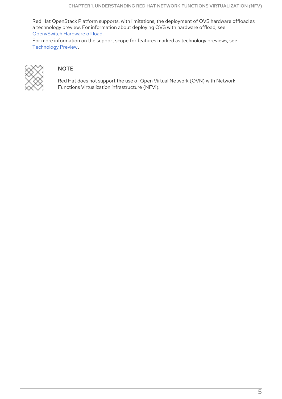Red Hat OpenStack Platform supports, with limitations, the deployment of OVS hardware offload as a technology preview. For information about deploying OVS with hardware offload, see [OpenvSwitch](https://access.redhat.com/documentation/en-us/red_hat_openstack_platform/14/html-single/network_functions_virtualization_planning_and_configuration_guide/index#openvswitch_hardware_offload) Hardware offload .

For more information on the support scope for features marked as technology previews, see [Technology](https://access.redhat.com/support/offerings/techpreview/) Preview.



#### **NOTE**

Red Hat does not support the use of Open Virtual Network (OVN) with Network Functions Virtualization infrastructure (NFVi).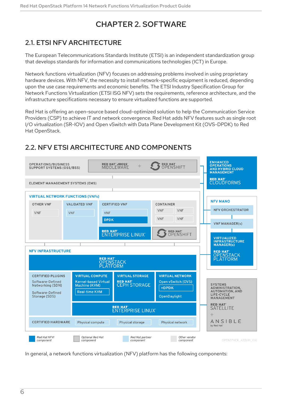# CHAPTER 2. SOFTWARE

## <span id="page-9-1"></span><span id="page-9-0"></span>2.1. ETSI NFV ARCHITECTURE

The European Telecommunications Standards Institute (ETSI) is an independent standardization group that develops standards for information and communications technologies (ICT) in Europe.

Network functions virtualization (NFV) focuses on addressing problems involved in using proprietary hardware devices. With NFV, the necessity to install network-specific equipment is reduced, depending upon the use case requirements and economic benefits. The ETSI Industry Specification Group for Network Functions Virtualization (ETSI ISG NFV) sets the requirements, reference architecture, and the infrastructure specifications necessary to ensure virtualized functions are supported.

Red Hat is offering an open-source based cloud-optimized solution to help the Communication Service Providers (CSP) to achieve IT and network convergence. Red Hat adds NFV features such as single root I/O virtualization (SR-IOV) and Open vSwitch with Data Plane Development Kit (OVS-DPDK) to Red Hat OpenStack.



## <span id="page-9-2"></span>2.2. NFV ETSI ARCHITECTURE AND COMPONENTS

In general, a network functions virtualization (NFV) platform has the following components: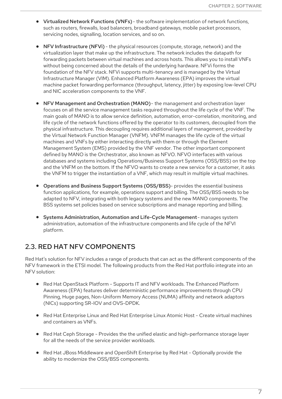- Virtualized Network Functions (VNFs)- the software implementation of network functions, such as routers, firewalls, load balancers, broadband gateways, mobile packet processors, servicing nodes, signalling, location services, and so on.
- NFV Infrastructure (NFVi) the physical resources (compute, storage, network) and the virtualization layer that make up the infrastructure. The network includes the datapath for forwarding packets between virtual machines and across hosts. This allows you to install VNFs without being concerned about the details of the underlying hardware. NFVi forms the foundation of the NFV stack. NFVi supports multi-tenancy and is managed by the Virtual Infrastructure Manager (VIM). Enhanced Platform Awareness (EPA) improves the virtual machine packet forwarding performance (throughput, latency, jitter) by exposing low-level CPU and NIC acceleration components to the VNF.
- NFV Management and Orchestration (MANO)- the management and orchestration layer focuses on all the service management tasks required throughout the life cycle of the VNF. The main goals of MANO is to allow service definition, automation, error-correlation, monitoring, and life cycle of the network functions offered by the operator to its customers, decoupled from the physical infrastructure. This decoupling requires additional layers of management, provided by the Virtual Network Function Manager (VNFM). VNFM manages the life cycle of the virtual machines and VNFs by either interacting directly with them or through the Element Management System (EMS) provided by the VNF vendor. The other important component defined by MANO is the Orchestrator, also known as NFVO. NFVO interfaces with various databases and systems including Operations/Business Support Systems (OSS/BSS) on the top and the VNFM on the bottom. If the NFVO wants to create a new service for a customer, it asks the VNFM to trigger the instantiation of a VNF, which may result in multiple virtual machines.
- Operations and Business Support Systems (OSS/BSS)- provides the essential business function applications, for example, operations support and billing. The OSS/BSS needs to be adapted to NFV, integrating with both legacy systems and the new MANO components. The BSS systems set policies based on service subscriptions and manage reporting and billing.
- Systems Administration, Automation and Life-Cycle Management- manages system administration, automation of the infrastructure components and life cycle of the NFVI platform.

### <span id="page-10-0"></span>2.3. RED HAT NFV COMPONENTS

Red Hat's solution for NFV includes a range of products that can act as the different components of the NFV framework in the ETSI model. The following products from the Red Hat portfolio integrate into an NFV solution:

- Red Hat OpenStack Platform Supports IT and NFV workloads. The Enhanced Platform Awareness (EPA) features deliver deterministic performance improvements through CPU Pinning, Huge pages, Non-Uniform Memory Access (NUMA) affinity and network adaptors (NICs) supporting SR-IOV and OVS-DPDK.
- Red Hat Enterprise Linux and Red Hat Enterprise Linux Atomic Host Create virtual machines and containers as VNFs.
- Red Hat Ceph Storage Provides the the unified elastic and high-performance storage layer for all the needs of the service provider workloads.
- Red Hat JBoss Middleware and OpenShift Enterprise by Red Hat Optionally provide the ability to modernize the OSS/BSS components.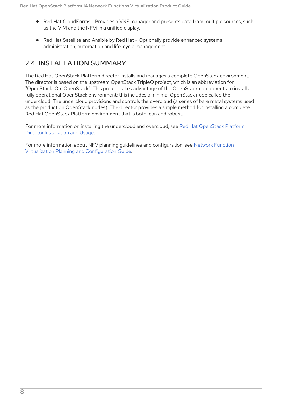- Red Hat CloudForms Provides a VNF manager and presents data from multiple sources, such as the VIM and the NFVi in a unified display.
- Red Hat Satellite and Ansible by Red Hat Optionally provide enhanced systems administration, automation and life-cycle management.

#### <span id="page-11-0"></span>2.4. INSTALLATION SUMMARY

The Red Hat OpenStack Platform director installs and manages a complete OpenStack environment. The director is based on the upstream OpenStack TripleO project, which is an abbreviation for "OpenStack-On-OpenStack". This project takes advantage of the OpenStack components to install a fully operational OpenStack environment; this includes a minimal OpenStack node called the undercloud. The undercloud provisions and controls the overcloud (a series of bare metal systems used as the production OpenStack nodes). The director provides a simple method for installing a complete Red Hat OpenStack Platform environment that is both lean and robust.

For more [information](https://access.redhat.com/documentation/en-us/red_hat_openstack_platform/14/html-single/director_installation_and_usage/) on installing the undercloud and overcloud, see Red Hat OpenStack Platform Director Installation and Usage.

For more information about NFV planning guidelines and [configuration,](https://access.redhat.com/documentation/en-us/red_hat_openstack_platform/14/html-single/network_functions_virtualization_planning_and_configuration_guide/) see Network Function Virtualization Planning and Configuration Guide.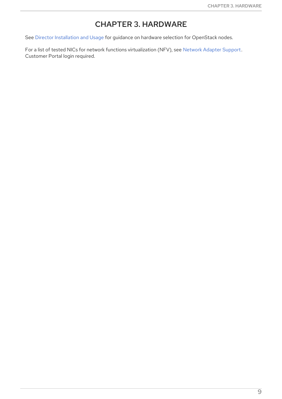## CHAPTER 3. HARDWARE

<span id="page-12-0"></span>See Director [Installation](https://access.redhat.com/documentation/en-us/red_hat_openstack_platform/14/html/director_installation_and_usage/) and Usage for guidance on hardware selection for OpenStack nodes.

For a list of tested NICs for network functions virtualization (NFV), see [Network](https://access.redhat.com/articles/3538141#network-adapter-support-2) Adapter Support. Customer Portal login required.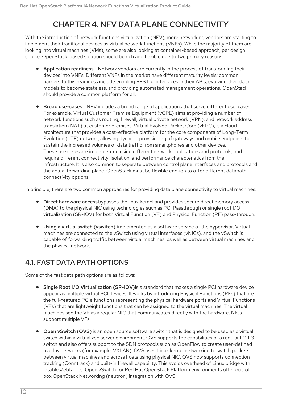# CHAPTER 4. NFV DATA PLANE CONNECTIVITY

<span id="page-13-0"></span>With the introduction of network functions virtualization (NFV), more networking vendors are starting to implement their traditional devices as virtual network functions (VNFs). While the majority of them are looking into virtual machines (VMs), some are also looking at container-based approach, per design choice. OpenStack-based solution should be rich and flexible due to two primary reasons:

- Application readiness Network vendors are currently in the process of transforming their devices into VNFs. Different VNFs in the market have different maturity levels; common barriers to this readiness include enabling RESTful interfaces in their APIs, evolving their data models to become stateless, and providing automated management operations. OpenStack should provide a common platform for all.
- Broad use-cases NFV includes a broad range of applications that serve different use-cases. For example, Virtual Customer Premise Equipment (vCPE) aims at providing a number of network functions such as routing, firewall, virtual private network (VPN), and network address translation (NAT) at customer premises. Virtual Evolved Packet Core (vEPC), is a cloud architecture that provides a cost-effective platform for the core components of Long-Term Evolution (LTE) network, allowing dynamic provisioning of gateways and mobile endpoints to sustain the increased volumes of data traffic from smartphones and other devices. These use cases are implemented using different network applications and protocols, and require different connectivity, isolation, and performance characteristics from the infrastructure. It is also common to separate between control plane interfaces and protocols and the actual forwarding plane. OpenStack must be flexible enough to offer different datapath connectivity options.

In principle, there are two common approaches for providing data plane connectivity to virtual machines:

- **Direct hardware access** bypasses the linux kernel and provides secure direct memory access (DMA) to the physical NIC using technologies such as PCI Passthrough or single root I/O virtualization (SR-IOV) for both Virtual Function (VF) and Physical Function (PF) pass-through.
- Using a virtual switch (vswitch), implemented as a software service of the hypervisor. Virtual machines are connected to the vSwitch using virtual interfaces (vNICs), and the vSwitch is capable of forwarding traffic between virtual machines, as well as between virtual machines and the physical network.

#### <span id="page-13-1"></span>4.1. FAST DATA PATH OPTIONS

Some of the fast data path options are as follows:

- Single Root I/O Virtualization (SR-IOV)is a standard that makes a single PCI hardware device appear as multiple virtual PCI devices. It works by introducing Physical Functions (PFs) that are the full-featured PCIe functions representing the physical hardware ports and Virtual Functions (VFs) that are lightweight functions that can be assigned to the virtual machines. The virtual machines see the VF as a regular NIC that communicates directly with the hardware. NICs support multiple VFs.
- Open vSwitch (OVS) is an open source software switch that is designed to be used as a virtual switch within a virtualized server environment. OVS supports the capabilities of a regular L2-L3 switch and also offers support to the SDN protocols such as OpenFlow to create user-defined overlay networks (for example, VXLAN). OVS uses Linux kernel networking to switch packets between virtual machines and across hosts using physical NIC. OVS now supports connection tracking (Conntrack) and built-in firewall capability. This avoids overhead of Linux bridge with iptables/ebtables. Open vSwitch for Red Hat OpenStack Platform environments offer out-ofbox OpenStack Networking (neutron) integration with OVS.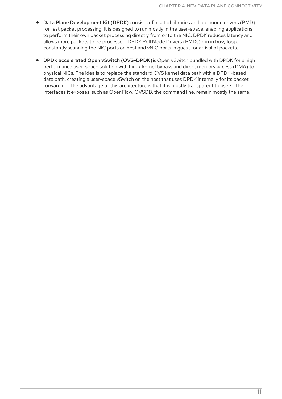- Data Plane Development Kit (DPDK) consists of a set of libraries and poll mode drivers (PMD) for fast packet processing. It is designed to run mostly in the user-space, enabling applications to perform their own packet processing directly from or to the NIC. DPDK reduces latency and allows more packets to be processed. DPDK Poll Mode Drivers (PMDs) run in busy loop, constantly scanning the NIC ports on host and vNIC ports in guest for arrival of packets.
- $\bullet$ DPDK accelerated Open vSwitch (OVS-DPDK) is Open vSwitch bundled with DPDK for a high performance user-space solution with Linux kernel bypass and direct memory access (DMA) to physical NICs. The idea is to replace the standard OVS kernel data path with a DPDK-based data path, creating a user-space vSwitch on the host that uses DPDK internally for its packet forwarding. The advantage of this architecture is that it is mostly transparent to users. The interfaces it exposes, such as OpenFlow, OVSDB, the command line, remain mostly the same.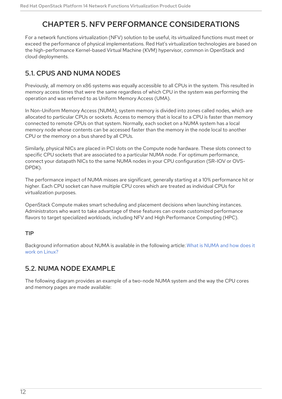# CHAPTER 5. NFV PERFORMANCE CONSIDERATIONS

<span id="page-15-0"></span>For a network functions virtualization (NFV) solution to be useful, its virtualized functions must meet or exceed the performance of physical implementations. Red Hat's virtualization technologies are based on the high-performance Kernel-based Virtual Machine (KVM) hypervisor, common in OpenStack and cloud deployments.

## <span id="page-15-1"></span>5.1. CPUS AND NUMA NODES

Previously, all memory on x86 systems was equally accessible to all CPUs in the system. This resulted in memory access times that were the same regardless of which CPU in the system was performing the operation and was referred to as Uniform Memory Access (UMA).

In Non-Uniform Memory Access (NUMA), system memory is divided into zones called nodes, which are allocated to particular CPUs or sockets. Access to memory that is local to a CPU is faster than memory connected to remote CPUs on that system. Normally, each socket on a NUMA system has a local memory node whose contents can be accessed faster than the memory in the node local to another CPU or the memory on a bus shared by all CPUs.

Similarly, physical NICs are placed in PCI slots on the Compute node hardware. These slots connect to specific CPU sockets that are associated to a particular NUMA node. For optimum performance, connect your datapath NICs to the same NUMA nodes in your CPU configuration (SR-IOV or OVS-DPDK).

The performance impact of NUMA misses are significant, generally starting at a 10% performance hit or higher. Each CPU socket can have multiple CPU cores which are treated as individual CPUs for virtualization purposes.

OpenStack Compute makes smart scheduling and placement decisions when launching instances. Administrators who want to take advantage of these features can create customized performance flavors to target specialized workloads, including NFV and High Performance Computing (HPC).

#### TIP

[Background](https://access.redhat.com/solutions/700683) information about NUMA is available in the following article: What is NUMA and how does it work on Linux?

### <span id="page-15-2"></span>5.2. NUMA NODE EXAMPLE

The following diagram provides an example of a two-node NUMA system and the way the CPU cores and memory pages are made available: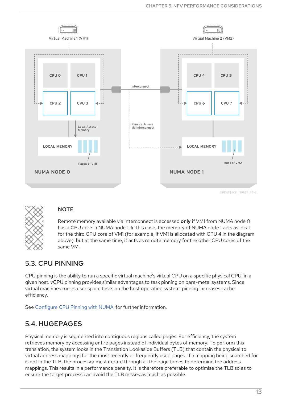



#### **NOTE**

Remote memory available via Interconnect is accessed only if VM1 from NUMA node 0 has a CPU core in NUMA node 1. In this case, the memory of NUMA node 1 acts as local for the third CPU core of VM1 (for example, if VM1 is allocated with CPU 4 in the diagram above), but at the same time, it acts as remote memory for the other CPU cores of the same VM.

### <span id="page-16-0"></span>5.3. CPU PINNING

CPU pinning is the ability to run a specific virtual machine's virtual CPU on a specific physical CPU, in a given host. vCPU pinning provides similar advantages to task pinning on bare-metal systems. Since virtual machines run as user space tasks on the host operating system, pinning increases cache efficiency.

See [Configure](https://access.redhat.com/documentation/en-us/red_hat_openstack_platform/14/html/instances_and_images_guide/ch-cpu_pinning) CPU Pinning with NUMA for further information.

## <span id="page-16-1"></span>5.4. HUGEPAGES

Physical memory is segmented into contiguous regions called pages. For efficiency, the system retrieves memory by accessing entire pages instead of individual bytes of memory. To perform this translation, the system looks in the Translation Lookaside Buffers (TLB) that contain the physical to virtual address mappings for the most recently or frequently used pages. If a mapping being searched for is not in the TLB, the processor must iterate through all the page tables to determine the address mappings. This results in a performance penalty. It is therefore preferable to optimise the TLB so as to ensure the target process can avoid the TLB misses as much as possible.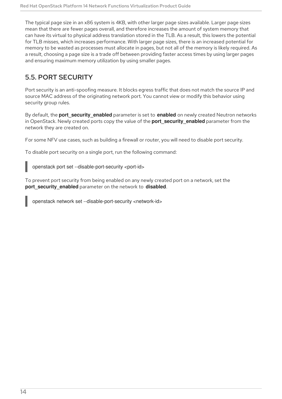The typical page size in an x86 system is 4KB, with other larger page sizes available. Larger page sizes mean that there are fewer pages overall, and therefore increases the amount of system memory that can have its virtual to physical address translation stored in the TLB. As a result, this lowers the potential for TLB misses, which increases performance. With larger page sizes, there is an increased potential for memory to be wasted as processes must allocate in pages, but not all of the memory is likely required. As a result, choosing a page size is a trade off between providing faster access times by using larger pages and ensuring maximum memory utilization by using smaller pages.

#### <span id="page-17-0"></span>5.5. PORT SECURITY

Port security is an anti-spoofing measure. It blocks egress traffic that does not match the source IP and source MAC address of the originating network port. You cannot view or modify this behavior using security group rules.

By default, the **port security enabled** parameter is set to **enabled** on newly created Neutron networks in OpenStack. Newly created ports copy the value of the **port\_security enabled** parameter from the network they are created on.

For some NFV use cases, such as building a firewall or router, you will need to disable port security.

To disable port security on a single port, run the following command:

openstack port set --disable-port-security <port-id>

To prevent port security from being enabled on any newly created port on a network, set the **port** security enabled parameter on the network to disabled.

openstack network set --disable-port-security <network-id>